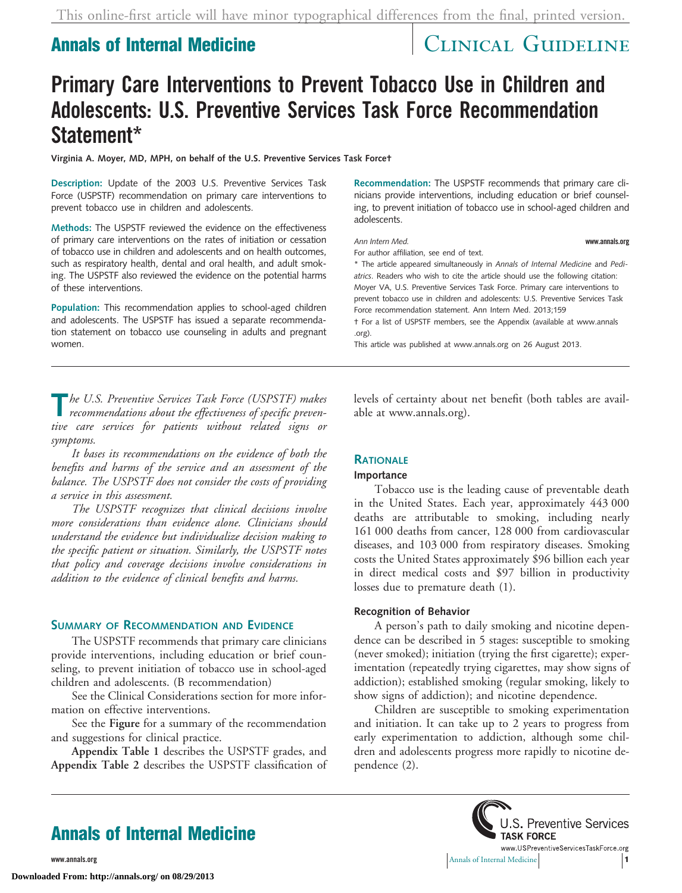# **Annals of Internal Medicine CLINICAL GUIDELINE**

# **Primary Care Interventions to Prevent Tobacco Use in Children and Adolescents: U.S. Preventive Services Task Force Recommendation Statement\***

**Virginia A. Moyer, MD, MPH, on behalf of the U.S. Preventive Services Task Force†**

**Description:** Update of the 2003 U.S. Preventive Services Task Force (USPSTF) recommendation on primary care interventions to prevent tobacco use in children and adolescents.

**Methods:** The USPSTF reviewed the evidence on the effectiveness of primary care interventions on the rates of initiation or cessation of tobacco use in children and adolescents and on health outcomes, such as respiratory health, dental and oral health, and adult smoking. The USPSTF also reviewed the evidence on the potential harms of these interventions.

**Population:** This recommendation applies to school-aged children and adolescents. The USPSTF has issued a separate recommendation statement on tobacco use counseling in adults and pregnant women.

**Recommendation:** The USPSTF recommends that primary care clinicians provide interventions, including education or brief counseling, to prevent initiation of tobacco use in school-aged children and adolescents.

*Ann Intern Med.* **www.annals.org** For author affiliation, see end of text. \* The article appeared simultaneously in *Annals of Internal Medicine* and *Pediatrics*. Readers who wish to cite the article should use the following citation: Moyer VA, U.S. Preventive Services Task Force. Primary care interventions to prevent tobacco use in children and adolescents: U.S. Preventive Services Task Force recommendation statement. Ann Intern Med. 2013;159 † For a list of USPSTF members, see the Appendix (available at [www.annals](http://www.annals.org) [.org\)](http://www.annals.org).

This article was published at [www.annals.org](http://www.annals.org) on 26 August 2013.

**T***he U.S. Preventive Services Task Force (USPSTF) makes recommendations about the effectiveness of specific preventive care services for patients without related signs or symptoms.*

*It bases its recommendations on the evidence of both the benefits and harms of the service and an assessment of the balance. The USPSTF does not consider the costs of providing a service in this assessment.*

*The USPSTF recognizes that clinical decisions involve more considerations than evidence alone. Clinicians should understand the evidence but individualize decision making to the specific patient or situation. Similarly, the USPSTF notes that policy and coverage decisions involve considerations in addition to the evidence of clinical benefits and harms.*

# **SUMMARY OF RECOMMENDATION AND EVIDENCE**

The USPSTF recommends that primary care clinicians provide interventions, including education or brief counseling, to prevent initiation of tobacco use in school-aged children and adolescents. (B recommendation)

See the Clinical Considerations section for more information on effective interventions.

See the **Figure** for a summary of the recommendation and suggestions for clinical practice.

**Appendix Table 1** describes the USPSTF grades, and **Appendix Table 2** describes the USPSTF classification of levels of certainty about net benefit (both tables are available at [www.annals.org\)](http://www.annals.org).

# **RATIONALE**

#### **Importance**

Tobacco use is the leading cause of preventable death in the United States. Each year, approximately 443 000 deaths are attributable to smoking, including nearly 161 000 deaths from cancer, 128 000 from cardiovascular diseases, and 103 000 from respiratory diseases. Smoking costs the United States approximately \$96 billion each year in direct medical costs and \$97 billion in productivity losses due to premature death (1).

#### **Recognition of Behavior**

A person's path to daily smoking and nicotine dependence can be described in 5 stages: susceptible to smoking (never smoked); initiation (trying the first cigarette); experimentation (repeatedly trying cigarettes, may show signs of addiction); established smoking (regular smoking, likely to show signs of addiction); and nicotine dependence.

Children are susceptible to smoking experimentation and initiation. It can take up to 2 years to progress from early experimentation to addiction, although some children and adolescents progress more rapidly to nicotine dependence (2).



# **Annals of Internal Medicine**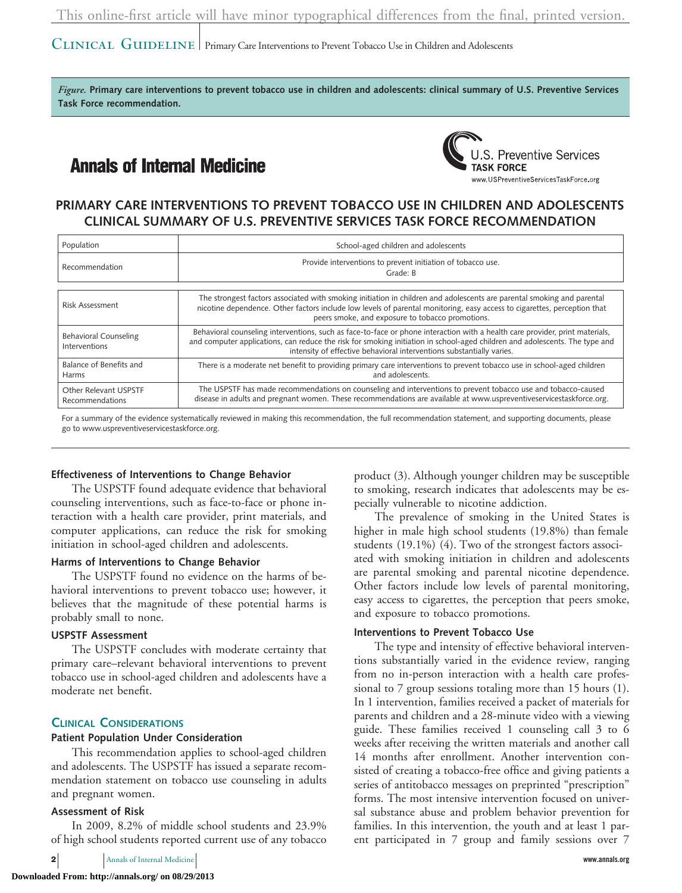This online-first article will have minor typographical differences from the final, printed version.

Clinical Guideline Primary Care Interventions to Prevent Tobacco Use in Children and Adolescents

*Figure.* **Primary care interventions to prevent tobacco use in children and adolescents: clinical summary of U.S. Preventive Services Task Force recommendation.**

# **Annals of Internal Medicine**



# **PRIMARY CARE INTERVENTIONS TO PREVENT TOBACCO USE IN CHILDREN AND ADOLESCENTS CLINICAL SUMMARY OF U.S. PREVENTIVE SERVICES TASK FORCE RECOMMENDATION**

| Population                                    | School-aged children and adolescents                                                                                                                                                                                                                                                                                                 |  |
|-----------------------------------------------|--------------------------------------------------------------------------------------------------------------------------------------------------------------------------------------------------------------------------------------------------------------------------------------------------------------------------------------|--|
| Recommendation                                | Provide interventions to prevent initiation of tobacco use.<br>Grade: B                                                                                                                                                                                                                                                              |  |
| Risk Assessment                               | The strongest factors associated with smoking initiation in children and adolescents are parental smoking and parental<br>nicotine dependence. Other factors include low levels of parental monitoring, easy access to cigarettes, perception that<br>peers smoke, and exposure to tobacco promotions.                               |  |
| <b>Behavioral Counseling</b><br>Interventions | Behavioral counseling interventions, such as face-to-face or phone interaction with a health care provider, print materials,<br>and computer applications, can reduce the risk for smoking initiation in school-aged children and adolescents. The type and<br>intensity of effective behavioral interventions substantially varies. |  |
| Balance of Benefits and<br>Harms              | There is a moderate net benefit to providing primary care interventions to prevent tobacco use in school-aged children<br>and adolescents.                                                                                                                                                                                           |  |
| Other Relevant USPSTF<br>Recommendations      | The USPSTF has made recommendations on counseling and interventions to prevent tobacco use and tobacco-caused<br>disease in adults and pregnant women. These recommendations are available at www.uspreventiveservicestaskforce.org.                                                                                                 |  |

For a summary of the evidence systematically reviewed in making this recommendation, the full recommendation statement, and supporting documents, please go to www.uspreventiveservicestaskforce.org.

#### **Effectiveness of Interventions to Change Behavior**

The USPSTF found adequate evidence that behavioral counseling interventions, such as face-to-face or phone interaction with a health care provider, print materials, and computer applications, can reduce the risk for smoking initiation in school-aged children and adolescents.

#### **Harms of Interventions to Change Behavior**

The USPSTF found no evidence on the harms of behavioral interventions to prevent tobacco use; however, it believes that the magnitude of these potential harms is probably small to none.

# **USPSTF Assessment**

The USPSTF concludes with moderate certainty that primary care–relevant behavioral interventions to prevent tobacco use in school-aged children and adolescents have a moderate net benefit.

#### **CLINICAL CONSIDERATIONS**

#### **Patient Population Under Consideration**

This recommendation applies to school-aged children and adolescents. The USPSTF has issued a separate recommendation statement on tobacco use counseling in adults and pregnant women.

#### **Assessment of Risk**

In 2009, 8.2% of middle school students and 23.9% of high school students reported current use of any tobacco product (3). Although younger children may be susceptible to smoking, research indicates that adolescents may be especially vulnerable to nicotine addiction.

The prevalence of smoking in the United States is higher in male high school students (19.8%) than female students (19.1%) (4). Two of the strongest factors associated with smoking initiation in children and adolescents are parental smoking and parental nicotine dependence. Other factors include low levels of parental monitoring, easy access to cigarettes, the perception that peers smoke, and exposure to tobacco promotions.

#### **Interventions to Prevent Tobacco Use**

The type and intensity of effective behavioral interventions substantially varied in the evidence review, ranging from no in-person interaction with a health care professional to 7 group sessions totaling more than 15 hours (1). In 1 intervention, families received a packet of materials for parents and children and a 28-minute video with a viewing guide. These families received 1 counseling call 3 to 6 weeks after receiving the written materials and another call 14 months after enrollment. Another intervention consisted of creating a tobacco-free office and giving patients a series of antitobacco messages on preprinted "prescription" forms. The most intensive intervention focused on universal substance abuse and problem behavior prevention for families. In this intervention, the youth and at least 1 parent participated in 7 group and family sessions over 7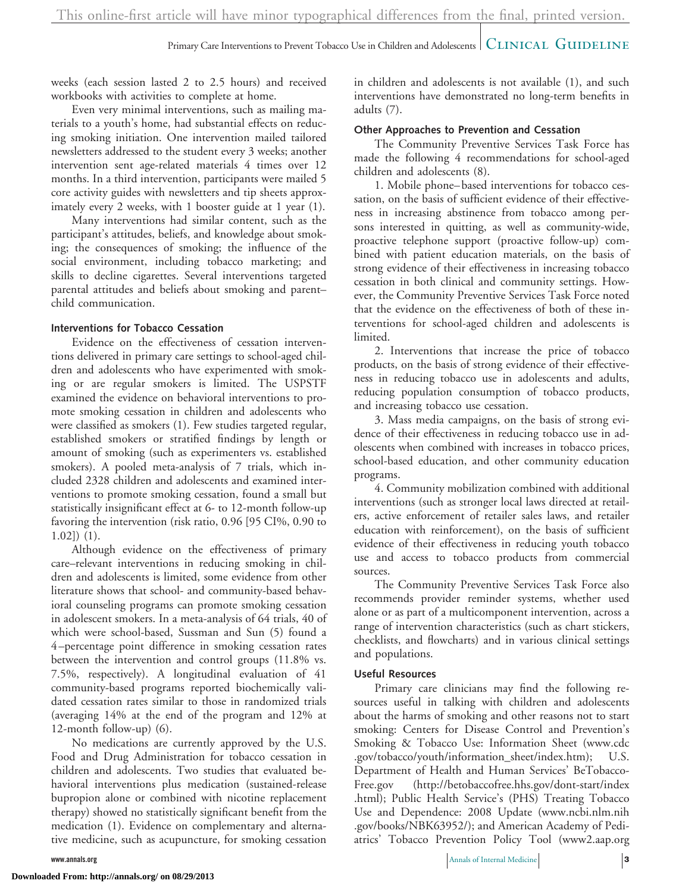weeks (each session lasted 2 to 2.5 hours) and received workbooks with activities to complete at home.

Even very minimal interventions, such as mailing materials to a youth's home, had substantial effects on reducing smoking initiation. One intervention mailed tailored newsletters addressed to the student every 3 weeks; another intervention sent age-related materials 4 times over 12 months. In a third intervention, participants were mailed 5 core activity guides with newsletters and tip sheets approximately every 2 weeks, with 1 booster guide at 1 year (1).

Many interventions had similar content, such as the participant's attitudes, beliefs, and knowledge about smoking; the consequences of smoking; the influence of the social environment, including tobacco marketing; and skills to decline cigarettes. Several interventions targeted parental attitudes and beliefs about smoking and parent– child communication.

# **Interventions for Tobacco Cessation**

Evidence on the effectiveness of cessation interventions delivered in primary care settings to school-aged children and adolescents who have experimented with smoking or are regular smokers is limited. The USPSTF examined the evidence on behavioral interventions to promote smoking cessation in children and adolescents who were classified as smokers (1). Few studies targeted regular, established smokers or stratified findings by length or amount of smoking (such as experimenters vs. established smokers). A pooled meta-analysis of 7 trials, which included 2328 children and adolescents and examined interventions to promote smoking cessation, found a small but statistically insignificant effect at 6- to 12-month follow-up favoring the intervention (risk ratio, 0.96 [95 CI%, 0.90 to 1.02]) (1).

Although evidence on the effectiveness of primary care–relevant interventions in reducing smoking in children and adolescents is limited, some evidence from other literature shows that school- and community-based behavioral counseling programs can promote smoking cessation in adolescent smokers. In a meta-analysis of 64 trials, 40 of which were school-based, Sussman and Sun (5) found a 4 –percentage point difference in smoking cessation rates between the intervention and control groups (11.8% vs. 7.5%, respectively). A longitudinal evaluation of 41 community-based programs reported biochemically validated cessation rates similar to those in randomized trials (averaging 14% at the end of the program and 12% at 12-month follow-up) (6).

No medications are currently approved by the U.S. Food and Drug Administration for tobacco cessation in children and adolescents. Two studies that evaluated behavioral interventions plus medication (sustained-release bupropion alone or combined with nicotine replacement therapy) showed no statistically significant benefit from the medication (1). Evidence on complementary and alternative medicine, such as acupuncture, for smoking cessation

**Downloaded From: http://annals.org/ on 08/29/2013**

in children and adolescents is not available (1), and such interventions have demonstrated no long-term benefits in adults (7).

#### **Other Approaches to Prevention and Cessation**

The Community Preventive Services Task Force has made the following 4 recommendations for school-aged children and adolescents (8).

1. Mobile phone– based interventions for tobacco cessation, on the basis of sufficient evidence of their effectiveness in increasing abstinence from tobacco among persons interested in quitting, as well as community-wide, proactive telephone support (proactive follow-up) combined with patient education materials, on the basis of strong evidence of their effectiveness in increasing tobacco cessation in both clinical and community settings. However, the Community Preventive Services Task Force noted that the evidence on the effectiveness of both of these interventions for school-aged children and adolescents is limited.

2. Interventions that increase the price of tobacco products, on the basis of strong evidence of their effectiveness in reducing tobacco use in adolescents and adults, reducing population consumption of tobacco products, and increasing tobacco use cessation.

3. Mass media campaigns, on the basis of strong evidence of their effectiveness in reducing tobacco use in adolescents when combined with increases in tobacco prices, school-based education, and other community education programs.

4. Community mobilization combined with additional interventions (such as stronger local laws directed at retailers, active enforcement of retailer sales laws, and retailer education with reinforcement), on the basis of sufficient evidence of their effectiveness in reducing youth tobacco use and access to tobacco products from commercial sources.

The Community Preventive Services Task Force also recommends provider reminder systems, whether used alone or as part of a multicomponent intervention, across a range of intervention characteristics (such as chart stickers, checklists, and flowcharts) and in various clinical settings and populations.

# **Useful Resources**

Primary care clinicians may find the following resources useful in talking with children and adolescents about the harms of smoking and other reasons not to start smoking: Centers for Disease Control and Prevention's Smoking & Tobacco Use: Information Sheet [\(www.cdc](http://www.cdc.gov/tobacco/youth/information_sheet/index.htm) [.gov/tobacco/youth/information\\_sheet/index.htm\)](http://www.cdc.gov/tobacco/youth/information_sheet/index.htm); U.S. Department of Health and Human Services' BeTobacco-Free.gov [\(http://betobaccofree.hhs.gov/dont-start/index](http://betobaccofree.hhs.gov/dont-start/index.html) [.html\)](http://betobaccofree.hhs.gov/dont-start/index.html); Public Health Service's (PHS) Treating Tobacco Use and Dependence: 2008 Update [\(www.ncbi.nlm.nih](http://www.ncbi.nlm.nih.gov/books/NBK63952/) [.gov/books/NBK63952/\)](http://www.ncbi.nlm.nih.gov/books/NBK63952/); and American Academy of Pediatrics' Tobacco Prevention Policy Tool [\(www2.aap.org](http://www2.aap.org/richmondcenter/TobaccoPreventionPolicyTool/TPPT_PracticeCessation.html)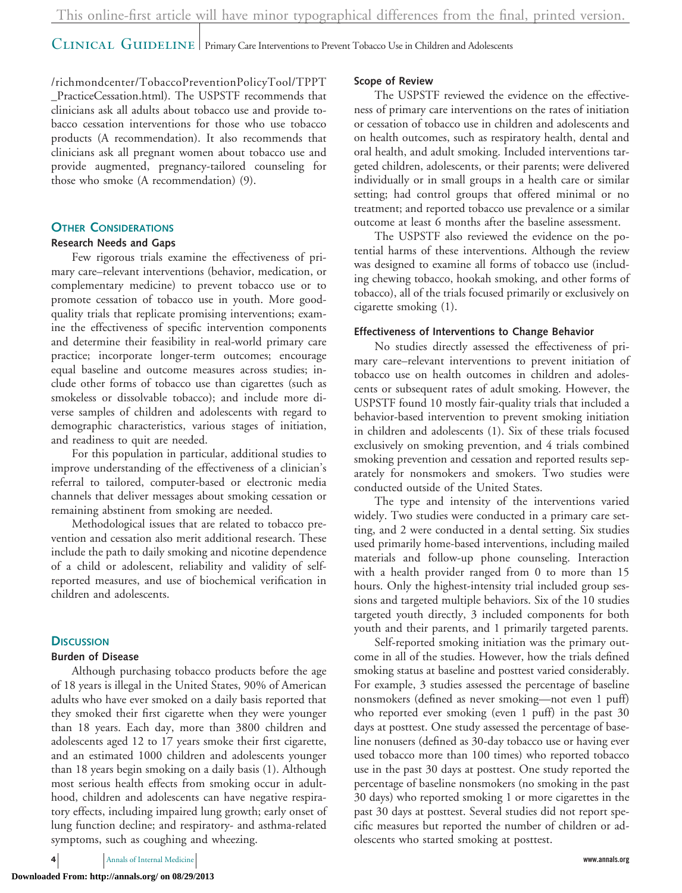**Scope of Review**

cigarette smoking (1).

CLINICAL GUIDELINE Primary Care Interventions to Prevent Tobacco Use in Children and Adolescents

/richmondcenter/TobaccoPreventionPolicyTool/TPPT [\\_PracticeCessation.html\)](http://www2.aap.org/richmondcenter/TobaccoPreventionPolicyTool/TPPT_PracticeCessation.html). The USPSTF recommends that clinicians ask all adults about tobacco use and provide tobacco cessation interventions for those who use tobacco products (A recommendation). It also recommends that clinicians ask all pregnant women about tobacco use and provide augmented, pregnancy-tailored counseling for those who smoke (A recommendation) (9).

# **OTHER CONSIDERATIONS**

#### **Research Needs and Gaps**

Few rigorous trials examine the effectiveness of primary care–relevant interventions (behavior, medication, or complementary medicine) to prevent tobacco use or to promote cessation of tobacco use in youth. More goodquality trials that replicate promising interventions; examine the effectiveness of specific intervention components and determine their feasibility in real-world primary care practice; incorporate longer-term outcomes; encourage equal baseline and outcome measures across studies; include other forms of tobacco use than cigarettes (such as smokeless or dissolvable tobacco); and include more diverse samples of children and adolescents with regard to demographic characteristics, various stages of initiation, and readiness to quit are needed.

For this population in particular, additional studies to improve understanding of the effectiveness of a clinician's referral to tailored, computer-based or electronic media channels that deliver messages about smoking cessation or remaining abstinent from smoking are needed.

Methodological issues that are related to tobacco prevention and cessation also merit additional research. These include the path to daily smoking and nicotine dependence of a child or adolescent, reliability and validity of selfreported measures, and use of biochemical verification in children and adolescents.

#### **DISCUSSION**

#### **Burden of Disease**

Although purchasing tobacco products before the age of 18 years is illegal in the United States, 90% of American adults who have ever smoked on a daily basis reported that they smoked their first cigarette when they were younger than 18 years. Each day, more than 3800 children and adolescents aged 12 to 17 years smoke their first cigarette, and an estimated 1000 children and adolescents younger than 18 years begin smoking on a daily basis (1). Although most serious health effects from smoking occur in adulthood, children and adolescents can have negative respiratory effects, including impaired lung growth; early onset of lung function decline; and respiratory- and asthma-related symptoms, such as coughing and wheezing.

individually or in small groups in a health care or similar setting; had control groups that offered minimal or no treatment; and reported tobacco use prevalence or a similar outcome at least 6 months after the baseline assessment. The USPSTF also reviewed the evidence on the potential harms of these interventions. Although the review was designed to examine all forms of tobacco use (including chewing tobacco, hookah smoking, and other forms of

tobacco), all of the trials focused primarily or exclusively on

The USPSTF reviewed the evidence on the effectiveness of primary care interventions on the rates of initiation or cessation of tobacco use in children and adolescents and on health outcomes, such as respiratory health, dental and oral health, and adult smoking. Included interventions targeted children, adolescents, or their parents; were delivered

#### **Effectiveness of Interventions to Change Behavior**

No studies directly assessed the effectiveness of primary care–relevant interventions to prevent initiation of tobacco use on health outcomes in children and adolescents or subsequent rates of adult smoking. However, the USPSTF found 10 mostly fair-quality trials that included a behavior-based intervention to prevent smoking initiation in children and adolescents (1). Six of these trials focused exclusively on smoking prevention, and 4 trials combined smoking prevention and cessation and reported results separately for nonsmokers and smokers. Two studies were conducted outside of the United States.

The type and intensity of the interventions varied widely. Two studies were conducted in a primary care setting, and 2 were conducted in a dental setting. Six studies used primarily home-based interventions, including mailed materials and follow-up phone counseling. Interaction with a health provider ranged from 0 to more than 15 hours. Only the highest-intensity trial included group sessions and targeted multiple behaviors. Six of the 10 studies targeted youth directly, 3 included components for both youth and their parents, and 1 primarily targeted parents.

Self-reported smoking initiation was the primary outcome in all of the studies. However, how the trials defined smoking status at baseline and posttest varied considerably. For example, 3 studies assessed the percentage of baseline nonsmokers (defined as never smoking—not even 1 puff) who reported ever smoking (even 1 puff) in the past 30 days at posttest. One study assessed the percentage of baseline nonusers (defined as 30-day tobacco use or having ever used tobacco more than 100 times) who reported tobacco use in the past 30 days at posttest. One study reported the percentage of baseline nonsmokers (no smoking in the past 30 days) who reported smoking 1 or more cigarettes in the past 30 days at posttest. Several studies did not report specific measures but reported the number of children or adolescents who started smoking at posttest.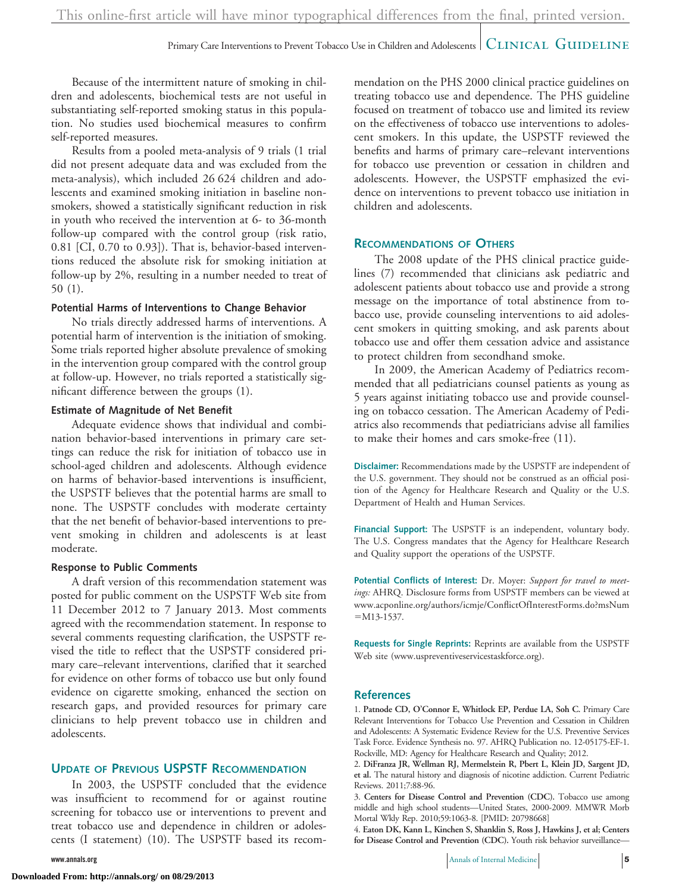Because of the intermittent nature of smoking in children and adolescents, biochemical tests are not useful in substantiating self-reported smoking status in this population. No studies used biochemical measures to confirm self-reported measures.

Results from a pooled meta-analysis of 9 trials (1 trial did not present adequate data and was excluded from the meta-analysis), which included 26 624 children and adolescents and examined smoking initiation in baseline nonsmokers, showed a statistically significant reduction in risk in youth who received the intervention at 6- to 36-month follow-up compared with the control group (risk ratio, 0.81 [CI, 0.70 to 0.93]). That is, behavior-based interventions reduced the absolute risk for smoking initiation at follow-up by 2%, resulting in a number needed to treat of 50 (1).

### **Potential Harms of Interventions to Change Behavior**

No trials directly addressed harms of interventions. A potential harm of intervention is the initiation of smoking. Some trials reported higher absolute prevalence of smoking in the intervention group compared with the control group at follow-up. However, no trials reported a statistically significant difference between the groups (1).

### **Estimate of Magnitude of Net Benefit**

Adequate evidence shows that individual and combination behavior-based interventions in primary care settings can reduce the risk for initiation of tobacco use in school-aged children and adolescents. Although evidence on harms of behavior-based interventions is insufficient, the USPSTF believes that the potential harms are small to none. The USPSTF concludes with moderate certainty that the net benefit of behavior-based interventions to prevent smoking in children and adolescents is at least moderate.

#### **Response to Public Comments**

A draft version of this recommendation statement was posted for public comment on the USPSTF Web site from 11 December 2012 to 7 January 2013. Most comments agreed with the recommendation statement. In response to several comments requesting clarification, the USPSTF revised the title to reflect that the USPSTF considered primary care–relevant interventions, clarified that it searched for evidence on other forms of tobacco use but only found evidence on cigarette smoking, enhanced the section on research gaps, and provided resources for primary care clinicians to help prevent tobacco use in children and adolescents.

# **UPDATE OF PREVIOUS USPSTF RECOMMENDATION**

In 2003, the USPSTF concluded that the evidence was insufficient to recommend for or against routine screening for tobacco use or interventions to prevent and treat tobacco use and dependence in children or adolescents (I statement) (10). The USPSTF based its recommendation on the PHS 2000 clinical practice guidelines on treating tobacco use and dependence. The PHS guideline focused on treatment of tobacco use and limited its review on the effectiveness of tobacco use interventions to adolescent smokers. In this update, the USPSTF reviewed the benefits and harms of primary care–relevant interventions for tobacco use prevention or cessation in children and adolescents. However, the USPSTF emphasized the evidence on interventions to prevent tobacco use initiation in children and adolescents.

### **RECOMMENDATIONS OF OTHERS**

The 2008 update of the PHS clinical practice guidelines (7) recommended that clinicians ask pediatric and adolescent patients about tobacco use and provide a strong message on the importance of total abstinence from tobacco use, provide counseling interventions to aid adolescent smokers in quitting smoking, and ask parents about tobacco use and offer them cessation advice and assistance to protect children from secondhand smoke.

In 2009, the American Academy of Pediatrics recommended that all pediatricians counsel patients as young as 5 years against initiating tobacco use and provide counseling on tobacco cessation. The American Academy of Pediatrics also recommends that pediatricians advise all families to make their homes and cars smoke-free (11).

**Disclaimer:** Recommendations made by the USPSTF are independent of the U.S. government. They should not be construed as an official position of the Agency for Healthcare Research and Quality or the U.S. Department of Health and Human Services.

**Financial Support:** The USPSTF is an independent, voluntary body. The U.S. Congress mandates that the Agency for Healthcare Research and Quality support the operations of the USPSTF.

**Potential Conflicts of Interest:** Dr. Moyer: *Support for travel to meetings:* AHRQ. Disclosure forms from USPSTF members can be viewed at [www.acponline.org/authors/icmje/ConflictOfInterestForms.do?msNum](http://www.acponline.org/authors/icmje/ConflictOfInterestForms.do?msNum=M13-1537)  $=M13-1537$ .

**Requests for Single Reprints:** Reprints are available from the USPSTF Web site [\(www.uspreventiveservicestaskforce.org\)](http://www.uspreventiveservicestaskforce.org).

# **References**

1. **Patnode CD, O'Connor E, Whitlock EP, Perdue LA, Soh C.** Primary Care Relevant Interventions for Tobacco Use Prevention and Cessation in Children and Adolescents: A Systematic Evidence Review for the U.S. Preventive Services Task Force. Evidence Synthesis no. 97. AHRQ Publication no. 12-05175-EF-1. Rockville, MD: Agency for Healthcare Research and Quality; 2012.

2. **DiFranza JR, Wellman RJ, Mermelstein R, Pbert L, Klein JD, Sargent JD, et al.** The natural history and diagnosis of nicotine addiction. Current Pediatric Reviews. 2011;7:88-96.

3. **Centers for Disease Control and Prevention (CDC).** Tobacco use among middle and high school students—United States, 2000-2009. MMWR Morb Mortal Wkly Rep. 2010;59:1063-8. [PMID: 20798668]

4. **Eaton DK, Kann L, Kinchen S, Shanklin S, Ross J, Hawkins J, et al; Centers for Disease Control and Prevention (CDC).** Youth risk behavior surveillance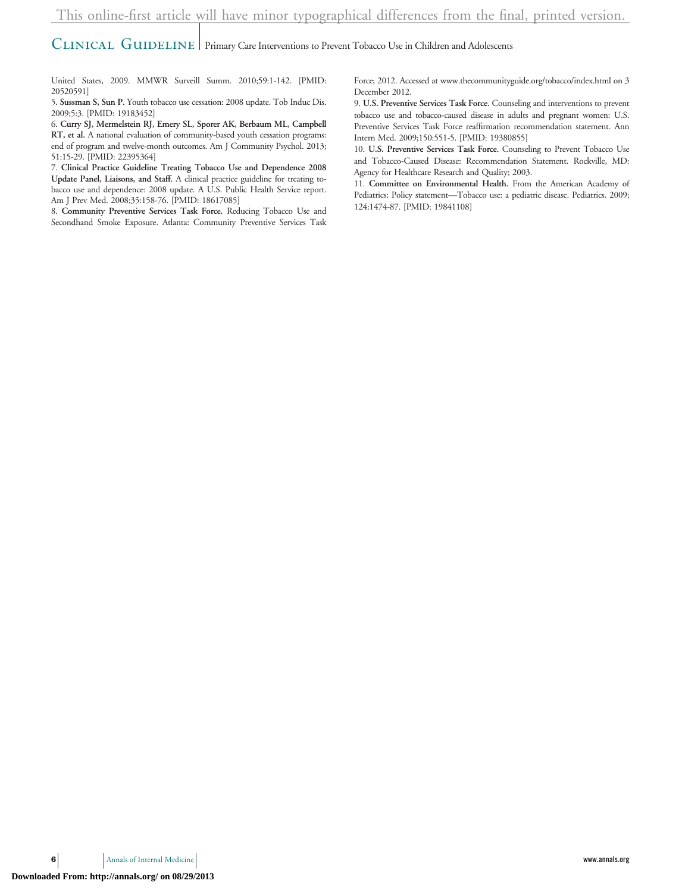CLINICAL GUIDELINE | Primary Care Interventions to Prevent Tobacco Use in Children and Adolescents

United States, 2009. MMWR Surveill Summ. 2010;59:1-142. [PMID: 20520591]

5. **Sussman S, Sun P.** Youth tobacco use cessation: 2008 update. Tob Induc Dis. 2009;5:3. [PMID: 19183452]

6. **Curry SJ, Mermelstein RJ, Emery SL, Sporer AK, Berbaum ML, Campbell RT, et al.** A national evaluation of community-based youth cessation programs: end of program and twelve-month outcomes. Am J Community Psychol. 2013; 51:15-29. [PMID: 22395364]

7. **Clinical Practice Guideline Treating Tobacco Use and Dependence 2008 Update Panel, Liaisons, and Staff.** A clinical practice guideline for treating tobacco use and dependence: 2008 update. A U.S. Public Health Service report. Am J Prev Med. 2008;35:158-76. [PMID: 18617085]

8. **Community Preventive Services Task Force.** Reducing Tobacco Use and Secondhand Smoke Exposure. Atlanta: Community Preventive Services Task Force; 2012. Accessed at [www.thecommunityguide.org/tobacco/index.html](http://www.thecommunityguide.org/tobacco/index.html) on 3 December 2012.

9. **U.S. Preventive Services Task Force.** Counseling and interventions to prevent tobacco use and tobacco-caused disease in adults and pregnant women: U.S. Preventive Services Task Force reaffirmation recommendation statement. Ann Intern Med. 2009;150:551-5. [PMID: 19380855]

10. **U.S. Preventive Services Task Force.** Counseling to Prevent Tobacco Use and Tobacco-Caused Disease: Recommendation Statement. Rockville, MD: Agency for Healthcare Research and Quality; 2003.

11. **Committee on Environmental Health.** From the American Academy of Pediatrics: Policy statement—Tobacco use: a pediatric disease. Pediatrics. 2009; 124:1474-87. [PMID: 19841108]